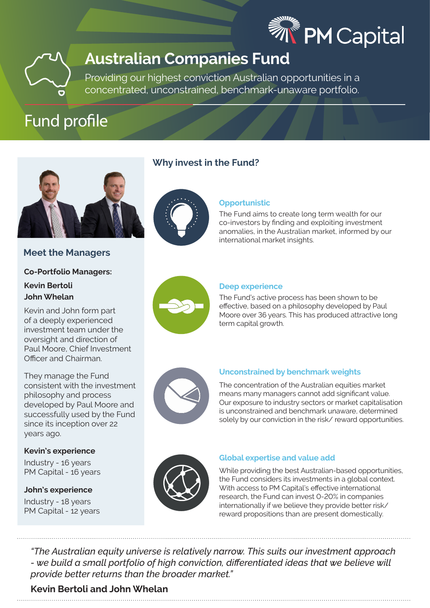



# **Australian Companies Fund**

Providing our highest conviction Australian opportunities in a concentrated, unconstrained, benchmark-unaware portfolio.

# Fund profile



**Meet the Managers**

# **Co-Portfolio Managers:**

# **Kevin Bertoli John Whelan**

Kevin and John form part of a deeply experienced investment team under the oversight and direction of Paul Moore, Chief Investment Officer and Chairman.

They manage the Fund consistent with the investment philosophy and process developed by Paul Moore and successfully used by the Fund since its inception over 22 years ago.

## **Kevin's experience**

Industry - 16 years PM Capital - 16 years

## **John's experience** Industry - 18 years PM Capital - 12 years

# **Why invest in the Fund?**



# **Opportunistic**

The Fund aims to create long term wealth for our co-investors by finding and exploiting investment anomalies, in the Australian market, informed by our international market insights.



## **Deep experience**

The Fund's active process has been shown to be effective, based on a philosophy developed by Paul Moore over 36 years. This has produced attractive long term capital growth.



## **Unconstrained by benchmark weights**

The concentration of the Australian equities market means many managers cannot add significant value. Our exposure to industry sectors or market capitalisation is unconstrained and benchmark unaware, determined solely by our conviction in the risk/ reward opportunities.



## **Global expertise and value add**

While providing the best Australian-based opportunities, the Fund considers its investments in a global context. With access to PM Capital's effective international research, the Fund can invest 0-20% in companies internationally if we believe they provide better risk/ reward propositions than are present domestically.

*"The Australian equity universe is relatively narrow. This suits our investment approach - we build a small portfolio of high conviction, differentiated ideas that we believe will provide better returns than the broader market."* 

# **Kevin Bertoli and John Whelan**